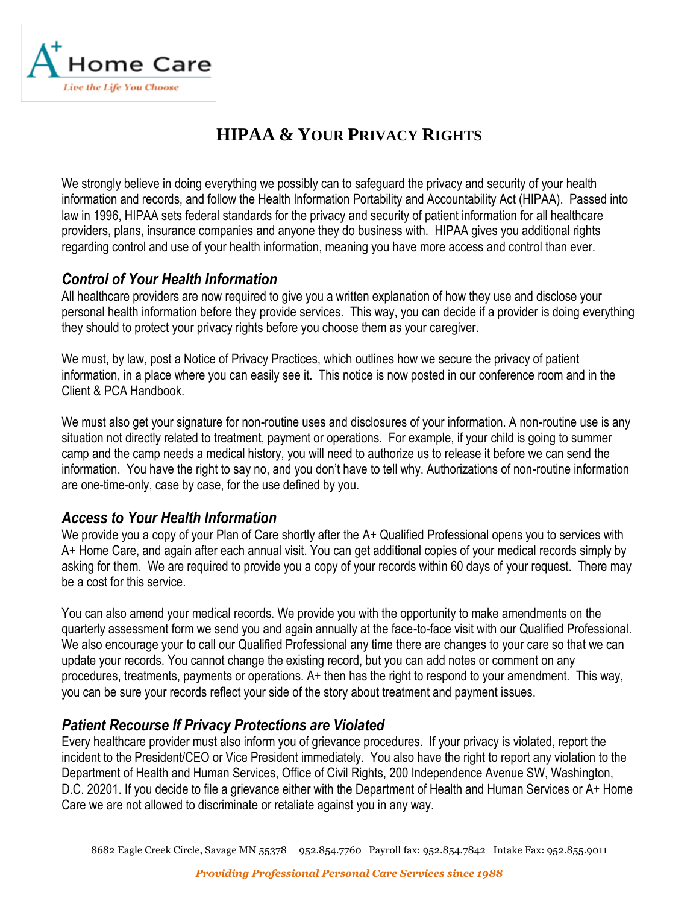

# **HIPAA & YOUR PRIVACY RIGHTS**

We strongly believe in doing everything we possibly can to safeguard the privacy and security of your health information and records, and follow the Health Information Portability and Accountability Act (HIPAA). Passed into law in 1996, HIPAA sets federal standards for the privacy and security of patient information for all healthcare providers, plans, insurance companies and anyone they do business with. HIPAA gives you additional rights regarding control and use of your health information, meaning you have more access and control than ever.

### *Control of Your Health Information*

All healthcare providers are now required to give you a written explanation of how they use and disclose your personal health information before they provide services. This way, you can decide if a provider is doing everything they should to protect your privacy rights before you choose them as your caregiver.

We must, by law, post a Notice of Privacy Practices, which outlines how we secure the privacy of patient information, in a place where you can easily see it. This notice is now posted in our conference room and in the Client & PCA Handbook.

We must also get your signature for non-routine uses and disclosures of your information. A non-routine use is any situation not directly related to treatment, payment or operations. For example, if your child is going to summer camp and the camp needs a medical history, you will need to authorize us to release it before we can send the information. You have the right to say no, and you don't have to tell why. Authorizations of non-routine information are one-time-only, case by case, for the use defined by you.

### *Access to Your Health Information*

We provide you a copy of your Plan of Care shortly after the A+ Qualified Professional opens you to services with A+ Home Care, and again after each annual visit. You can get additional copies of your medical records simply by asking for them. We are required to provide you a copy of your records within 60 days of your request. There may be a cost for this service.

You can also amend your medical records. We provide you with the opportunity to make amendments on the quarterly assessment form we send you and again annually at the face-to-face visit with our Qualified Professional. We also encourage your to call our Qualified Professional any time there are changes to your care so that we can update your records. You cannot change the existing record, but you can add notes or comment on any procedures, treatments, payments or operations. A+ then has the right to respond to your amendment. This way, you can be sure your records reflect your side of the story about treatment and payment issues.

# *Patient Recourse If Privacy Protections are Violated*

Every healthcare provider must also inform you of grievance procedures. If your privacy is violated, report the incident to the President/CEO or Vice President immediately. You also have the right to report any violation to the Department of Health and Human Services, Office of Civil Rights, 200 Independence Avenue SW, Washington, D.C. 20201. If you decide to file a grievance either with the Department of Health and Human Services or A+ Home Care we are not allowed to discriminate or retaliate against you in any way.